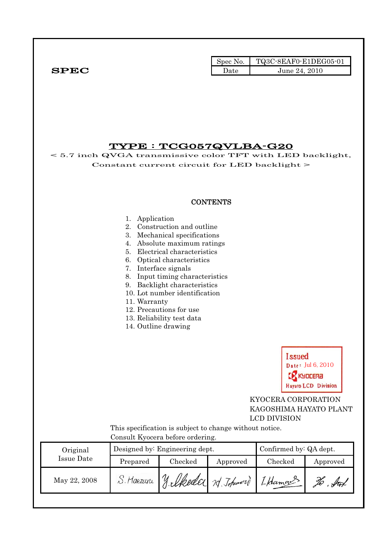|              | Spec No. | $\blacksquare$ TQ3C-8EAF0-E1DEG05-01 |
|--------------|----------|--------------------------------------|
| ${\bf SPEC}$ | ⊅ate     | June 24, 2010                        |

# TYPE : TCG057QVLBA-G20

< 5.7 inch QVGA transmissive color TFT with LED backlight, Constant current circuit for LED backlight >

### **CONTENTS**

#### 1. Application

- 2. Construction and outline
- 3. Mechanical specifications
- 4. Absolute maximum ratings
- 5. Electrical characteristics
- 6. Optical characteristics
- 7. Interface signals
- 8. Input timing characteristics
- 9. Backlight characteristics
- 10. Lot number identification
- 11. Warranty
- 12. Precautions for use
- 13. Reliability test data
- 14. Outline drawing



 KYOCERA CORPORATION KAGOSHIMA HAYATO PLANT LCD DIVISION

 This specification is subject to change without notice. Consult Kyocera before ordering.

| Original     | Designed by: Engineering dept. |                                      |          | Confirmed by: QA dept. |           |  |
|--------------|--------------------------------|--------------------------------------|----------|------------------------|-----------|--|
| Issue Date   | Prepared                       | Checked                              | Approved | Checked                | Approved  |  |
| May 22, 2008 | S. Maezuri                     | y lkeder 1 Johnnand<br>$\mathcal{U}$ |          | I Hamans               | ful<br>No |  |
|              |                                |                                      |          |                        |           |  |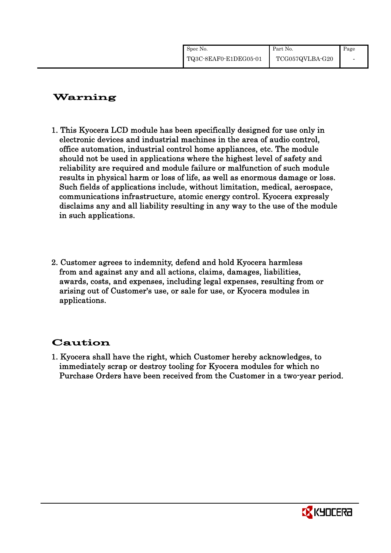| Spec No.              | Part No.        | Page |
|-----------------------|-----------------|------|
| TQ3C-8EAF0-E1DEG05-01 | TCG057QVLBA-G20 |      |

# Warning

- 1. This Kyocera LCD module has been specifically designed for use only in electronic devices and industrial machines in the area of audio control, office automation, industrial control home appliances, etc. The module should not be used in applications where the highest level of safety and reliability are required and module failure or malfunction of such module results in physical harm or loss of life, as well as enormous damage or loss. Such fields of applications include, without limitation, medical, aerospace, communications infrastructure, atomic energy control. Kyocera expressly disclaims any and all liability resulting in any way to the use of the module in such applications.
- 2. Customer agrees to indemnity, defend and hold Kyocera harmless from and against any and all actions, claims, damages, liabilities, awards, costs, and expenses, including legal expenses, resulting from or arising out of Customer's use, or sale for use, or Kyocera modules in applications.

# Caution

1. Kyocera shall have the right, which Customer hereby acknowledges, to immediately scrap or destroy tooling for Kyocera modules for which no Purchase Orders have been received from the Customer in a two-year period.

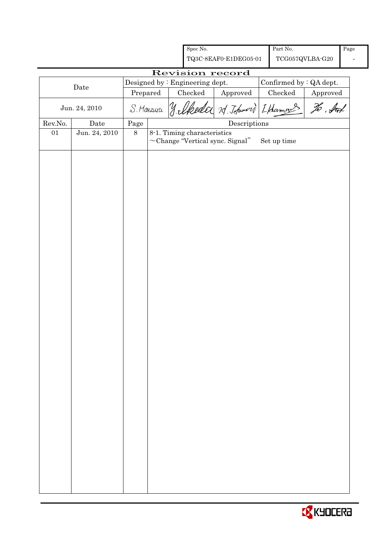|                 |               |            | Spec No.                                                             |                                      | Part No.                |          | Page |
|-----------------|---------------|------------|----------------------------------------------------------------------|--------------------------------------|-------------------------|----------|------|
|                 |               |            | TQ3C-8EAF0-E1DEG05-01                                                |                                      | TCG057QVLBA-G20         |          |      |
| Revision record |               |            |                                                                      |                                      |                         |          |      |
|                 | Date          |            | Designed by : Engineering dept.                                      |                                      | Confirmed by : QA dept. |          |      |
|                 |               | Prepared   | $\rm Checked$                                                        | Approved                             | ${\it Checked}$         | Approved |      |
|                 | Jun. 24, 2010 | S. Maezuru | y lkeder 14 Johnson Lkamans                                          |                                      |                         | To . fut |      |
| Rev.No.         | Date          | $\rm Page$ |                                                                      | $\label{eq:2} \textbf{Descriptions}$ |                         |          |      |
| 01              | Jun. 24, 2010 | $8\,$      | 8-1. Timing characteristics<br>$\sim$ Change "Vertical sync. Signal" |                                      | Set up time             |          |      |
|                 |               |            |                                                                      |                                      |                         |          |      |
|                 |               |            |                                                                      |                                      |                         |          |      |
|                 |               |            |                                                                      |                                      |                         |          |      |
|                 |               |            |                                                                      |                                      |                         |          |      |
|                 |               |            |                                                                      |                                      |                         |          |      |
|                 |               |            |                                                                      |                                      |                         |          |      |
|                 |               |            |                                                                      |                                      |                         |          |      |
|                 |               |            |                                                                      |                                      |                         |          |      |
|                 |               |            |                                                                      |                                      |                         |          |      |
|                 |               |            |                                                                      |                                      |                         |          |      |
|                 |               |            |                                                                      |                                      |                         |          |      |
|                 |               |            |                                                                      |                                      |                         |          |      |
|                 |               |            |                                                                      |                                      |                         |          |      |
|                 |               |            |                                                                      |                                      |                         |          |      |
|                 |               |            |                                                                      |                                      |                         |          |      |
|                 |               |            |                                                                      |                                      |                         |          |      |

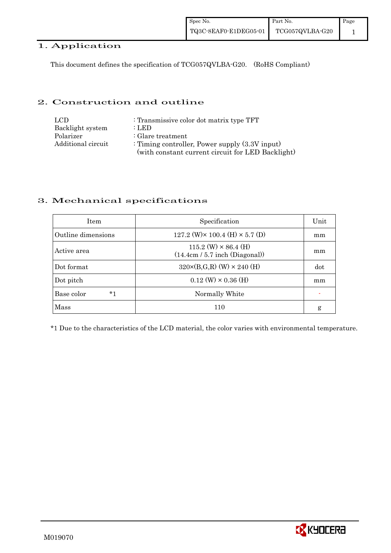# 1. Application

This document defines the specification of TCG057QVLBA-G20. (RoHS Compliant)

## 2. Construction and outline

| LCD.               | : Transmissive color dot matrix type TFT          |
|--------------------|---------------------------------------------------|
| Backlight system   | : LED                                             |
| Polarizer          | : Glare treatment                                 |
| Additional circuit | : Timing controller, Power supply $(3.3V)$ input) |
|                    | (with constant current circuit for LED Backlight) |

# 3. Mechanical specifications

| <b>Item</b>        | Specification                                                   | Unit |
|--------------------|-----------------------------------------------------------------|------|
| Outline dimensions | 127.2 (W) $\times$ 100.4 (H) $\times$ 5.7 (D)                   | mm   |
| Active area        | $115.2$ (W) $\times$ 86.4 (H)<br>(14.4cm / 5.7 inch (Diagonal)) | mm   |
| Dot format         | $320 \times (B,G,R)$ (W) $\times 240$ (H)                       | dot  |
| Dot pitch          | $0.12 \text{ (W)} \times 0.36 \text{ (H)}$                      | mm   |
| *1<br>Base color   | Normally White                                                  |      |
| Mass               | 110                                                             | g    |

\*1 Due to the characteristics of the LCD material, the color varies with environmental temperature.

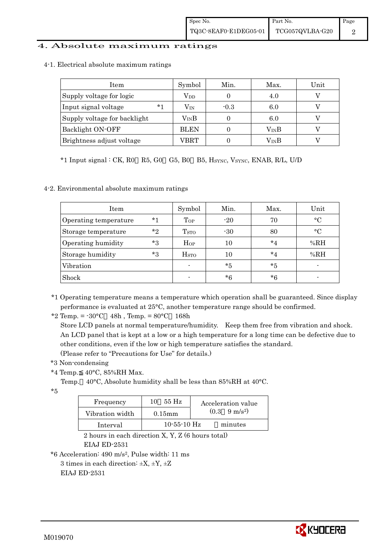### 4. Absolute maximum ratings

4-1. Electrical absolute maximum ratings

| Item                         | Symbol        | Min.   | Max. | Unit |
|------------------------------|---------------|--------|------|------|
| Supply voltage for logic     | $\rm V_{DD}$  |        | 4.0  |      |
| $*1$<br>Input signal voltage | $\rm V_{IN}$  | $-0.3$ | 6.0  |      |
| Supply voltage for backlight | $\rm V_{IN}B$ |        | 6.0  |      |
| Backlight ON-OFF             | <b>BLEN</b>   |        | VinB |      |
| Brightness adjust voltage    | VBRT          |        | VinB |      |

\*1 Input signal : CK, R0 R5, G0 G5, B0 B5, HSYNC, VSYNC, ENAB, R/L, U/D

### 4-2. Environmental absolute maximum ratings

| Item                  |         | Symbol                   | Min.  | Max.    | Unit        |
|-----------------------|---------|--------------------------|-------|---------|-------------|
| Operating temperature | $*1$    | $_{\rm Top}$             | $-20$ | 70      | $\circ$ C   |
| Storage temperature   | $*$ ?   | T <sub>STO</sub>         | $-30$ | 80      | $^{\circ}C$ |
| Operating humidity    | $*_{3}$ | $H_{OP}$                 | 10    | $*_{4}$ | %RH         |
| Storage humidity      | $*3$    | $_{\mathrm{HSTO}}$       | 10    | $*_{4}$ | %RH         |
| Vibration             |         | $\overline{\phantom{a}}$ | $*5$  | $*5$    |             |
| Shock                 |         | $\overline{\phantom{0}}$ | $*6$  | $*6$    |             |

\*1 Operating temperature means a temperature which operation shall be guaranteed. Since display performance is evaluated at 25°C, another temperature range should be confirmed.

\*2 Temp. =  $-30^{\circ}$ C 48h, Temp. =  $80^{\circ}$ C 168h

 Store LCD panels at normal temperature/humidity. Keep them free from vibration and shock. An LCD panel that is kept at a low or a high temperature for a long time can be defective due to other conditions, even if the low or high temperature satisfies the standard. (Please refer to "Precautions for Use" for details.)

- \*3 Non-condensing
- \*4 Temp. 40°C, 85%RH Max.
	- Temp. 40°C, Absolute humidity shall be less than 85%RH at 40°C.

\*5

| Frequency       | 55 Hz<br>10   | Acceleration value            |
|-----------------|---------------|-------------------------------|
| Vibration width | $0.15$ mm     | $(0.3 \quad 9 \text{ m/s}^2)$ |
| Interval        | $10-55-10$ Hz | minutes                       |

 2 hours in each direction X, Y, Z (6 hours total) EIAJ ED-2531

\*6 Acceleration: 490 m/s2, Pulse width: 11 ms

3 times in each direction:  $\pm X$ ,  $\pm Y$ ,  $\pm Z$ 

EIAJ ED-2531

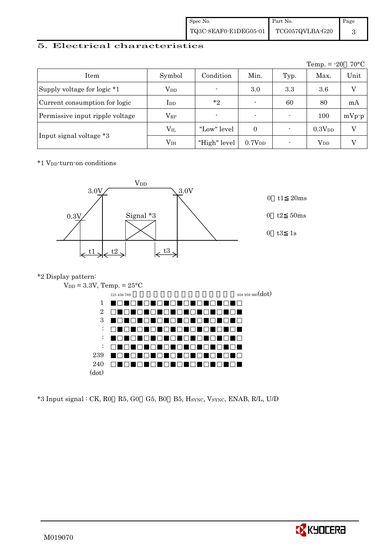| Spec No.              | Part No.        | Page |
|-----------------------|-----------------|------|
| TQ3C-8EAF0-E1DEG05-01 | TCG057QVLBA-G20 |      |

# 5. Electrical characteristics

|                                 |               |                |                          |      | Temp. $= -20$      | $70^{\circ}$ C |
|---------------------------------|---------------|----------------|--------------------------|------|--------------------|----------------|
| Item                            | Symbol        | Condition      | Min.                     | Typ. | Max.               | Unit           |
| Supply voltage for logic *1     | $\rm V_{DD}$  | $\blacksquare$ | 3.0                      | 3.3  | 3.6                | V              |
| Current consumption for logic   | $_{\rm{LDD}}$ | $*_{2}$        | $\blacksquare$           | 60   | 80                 | mA             |
| Permissive input ripple voltage | $\rm V_{RP}$  | $\blacksquare$ | $\overline{\phantom{0}}$ |      | 100                | $mVp-p$        |
|                                 | $\rm V_{II}$  | "Low" level    | $\Omega$                 |      | 0.3V <sub>DD</sub> | V              |
| Input signal voltage *3         | $\rm V_{IH}$  | "High" level   | 0.7V <sub>DD</sub>       |      | $\rm V_{DD}$       |                |

\*1 VDD-turn-on conditions



#### \*2 Display pattern:



|                           | $\overline{\phantom{a}}$ |                  |
|---------------------------|--------------------------|------------------|
|                           | 123 456 789              | 958 959 960(dot) |
| 1                         |                          |                  |
| $\overline{2}$            |                          |                  |
| 3                         |                          |                  |
| ٠<br>$\ddot{\phantom{a}}$ |                          |                  |
| ٠<br>$\ddot{\phantom{a}}$ |                          |                  |
| ٠                         |                          |                  |
| $\bf 239$                 |                          |                  |
| $240\,$                   |                          |                  |
| (dot)                     |                          |                  |
|                           |                          |                  |

\*3 Input signal : CK, R0 R5, G0 G5, B0 B5, HSYNC, VSYNC, ENAB, R/L, U/D

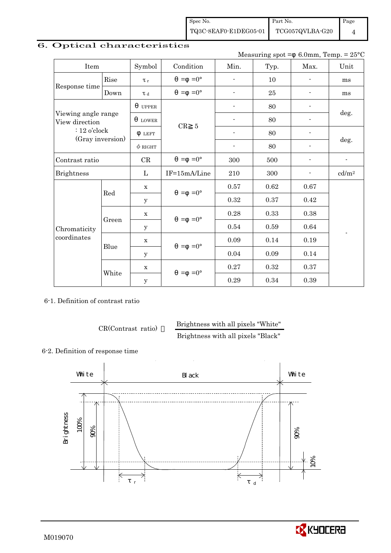Spec No. TQ3C-8EAF0-E1DEG05-01 Part No.

TCG057QVLBA-G20

Page 4

# 6. Optical characteristics

Measuring spot =  $6.0$ mm, Temp. =  $25^{\circ}$ C

| Item                                  |             | Symbol       | Condition           | Min.                     | Typ. | Max.           | Unit                     |
|---------------------------------------|-------------|--------------|---------------------|--------------------------|------|----------------|--------------------------|
|                                       | Rise        | $\tau_r$     | $=-0^{\circ}$       | $\overline{a}$           | 10   | $\blacksquare$ | ms                       |
| Response time                         | Down        | $\tau$ d     | $=0^{\circ}$<br>$=$ | ÷,                       | 25   |                | ms                       |
|                                       |             | <b>UPPER</b> |                     |                          | 80   |                |                          |
| Viewing angle range<br>View direction |             | <b>LOWER</b> | CR                  |                          | 80   | $\blacksquare$ | deg.                     |
| $: 12$ o'clock                        |             | <b>LEFT</b>  | $\overline{5}$      | $\blacksquare$           | 80   |                |                          |
| (Gray inversion)                      |             | $\phi$ RIGHT |                     | $\overline{\phantom{a}}$ | 80   |                | deg.                     |
| Contrast ratio                        |             | CR           | $=$ =0 $^{\circ}$   | 300                      | 500  | $\blacksquare$ | $\overline{\phantom{a}}$ |
| <b>Brightness</b>                     |             | $\mathbf{L}$ | IF=15mA/Line        | 210                      | 300  |                | cd/m <sup>2</sup>        |
|                                       |             | $\mathbf X$  | $=$ =0 $^{\circ}$   | 0.57                     | 0.62 | $0.67\,$       |                          |
|                                       | Red         | y            |                     | 0.32                     | 0.37 | 0.42           |                          |
|                                       |             | $\mathbf X$  | $=$ = 0°            | 0.28                     | 0.33 | 0.38           |                          |
| Chromaticity                          | Green       | y            |                     | 0.54                     | 0.59 | 0.64           | $\overline{\phantom{a}}$ |
| coordinates                           | $\mathbf X$ |              | $=$ =0 $^{\circ}$   | 0.09                     | 0.14 | 0.19           |                          |
|                                       | Blue        | $\mathbf{y}$ |                     | 0.04                     | 0.09 | 0.14           |                          |
|                                       |             |              | $=0^{\circ}$<br>$=$ | 0.27                     | 0.32 | 0.37           |                          |
|                                       | White       | $\mathbf y$  |                     | 0.29                     | 0.34 | 0.39           |                          |

6-1. Definition of contrast ratio

CR(Contrast ratio) Brightness with all pixels "White"

Brightness with all pixels "Black"

## 6-2. Definition of response time



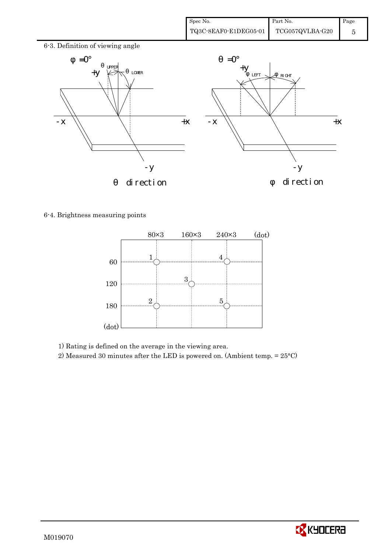

6-4. Brightness measuring points



1) Rating is defined on the average in the viewing area.

2) Measured 30 minutes after the LED is powered on. (Ambient temp. = 25°C)

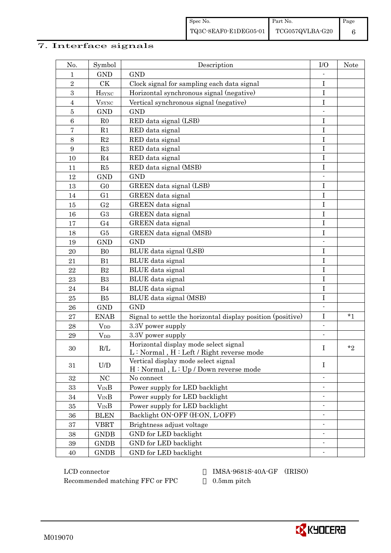# 7. Interface signals

| No.              | Symbol                   | Description                                                                                                                                    | I/O                      | Note    |
|------------------|--------------------------|------------------------------------------------------------------------------------------------------------------------------------------------|--------------------------|---------|
| $\mathbf 1$      | <b>GND</b>               | <b>GND</b>                                                                                                                                     |                          |         |
| $\overline{2}$   | CK                       | Clock signal for sampling each data signal                                                                                                     | $\rm I$                  |         |
| 3                | <b>H</b> <sub>SYNC</sub> | Horizontal synchronous signal (negative)                                                                                                       | $\mathbf I$              |         |
| $\overline{4}$   | <b>V</b> <sub>SYNC</sub> | Vertical synchronous signal (negative)                                                                                                         | $\bf I$                  |         |
| $\bf 5$          | <b>GND</b>               | <b>GND</b>                                                                                                                                     |                          |         |
| $6\phantom{.}6$  | R <sub>0</sub>           | RED data signal (LSB)                                                                                                                          | $\bf I$                  |         |
| $\bf 7$          | R1                       | RED data signal                                                                                                                                | $\mathbf I$              |         |
| $8\,$            | R2                       | RED data signal                                                                                                                                | $\mathbf I$              |         |
| $\boldsymbol{9}$ | R3                       | RED data signal                                                                                                                                | $\mathbf I$              |         |
| 10               | R <sub>4</sub>           | RED data signal                                                                                                                                | I                        |         |
| 11               | ${\it R5}$               | RED data signal (MSB)                                                                                                                          | $\mathbf I$              |         |
| 12               | <b>GND</b>               | <b>GND</b>                                                                                                                                     |                          |         |
| 13               | G <sub>0</sub>           | GREEN data signal (LSB)                                                                                                                        | $\rm I$                  |         |
| 14               | G <sub>1</sub>           | GREEN data signal                                                                                                                              | $\mathbf I$              |         |
| 15               | G <sub>2</sub>           | GREEN data signal                                                                                                                              | $\mathbf I$              |         |
| 16               | G <sub>3</sub>           | GREEN data signal                                                                                                                              | $\mathbf I$              |         |
| 17               | G <sub>4</sub>           | GREEN data signal                                                                                                                              | $\bf I$                  |         |
| 18               | G5                       | GREEN data signal (MSB)                                                                                                                        | $\bf I$                  |         |
| 19               | <b>GND</b>               | <b>GND</b>                                                                                                                                     | $\overline{a}$           |         |
| 20               | B <sub>0</sub>           | BLUE data signal (LSB)                                                                                                                         | $\bf I$                  |         |
| 21               | B1                       | BLUE data signal                                                                                                                               | $\mathbf I$              |         |
| 22               | B <sub>2</sub>           | BLUE data signal                                                                                                                               | $\mathbf I$              |         |
| 23               | B <sub>3</sub>           | BLUE data signal                                                                                                                               | I                        |         |
| 24               | B4                       | BLUE data signal                                                                                                                               | I                        |         |
| 25               | B <sub>5</sub>           | BLUE data signal (MSB)                                                                                                                         | I                        |         |
| 26               | <b>GND</b>               | <b>GND</b>                                                                                                                                     |                          |         |
| 27               | <b>ENAB</b>              | Signal to settle the horizontal display position (positive)                                                                                    | Ι                        | $*1$    |
| 28               | $V_{DD}$                 | 3.3V power supply                                                                                                                              | $\overline{a}$           |         |
| 29               | <b>V</b> <sub>DD</sub>   | 3.3V power supply                                                                                                                              |                          |         |
| 30               | $\rm R/L$                | Horizontal display mode select signal<br>$\mathbf{L} : \mathbf{Normal}$ , $\mathbf{H} : \mathbf{Left} \mathbin{/} \mathbf{Right}$ reverse mode | $\bf I$                  | $*_{2}$ |
| 31               | U/D                      | Vertical display mode select signal<br>H: Normal, L: Up / Down reverse mode                                                                    | Ι                        |         |
| 32               | NC                       | No connect                                                                                                                                     |                          |         |
| 33               | $V_{IN}B$                | Power supply for LED backlight                                                                                                                 |                          |         |
| 34               | $V_{IN}B$                | Power supply for LED backlight                                                                                                                 |                          |         |
| 35               | $V_{IN}B$                | Power supply for LED backlight                                                                                                                 | $\overline{\phantom{a}}$ |         |
| $36\,$           | <b>BLEN</b>              | Backlight ON-OFF (H:ON, L:OFF)                                                                                                                 |                          |         |
| 37               | <b>VBRT</b>              | Brightness adjust voltage                                                                                                                      |                          |         |
| $38\,$           | <b>GNDB</b>              | GND for LED backlight                                                                                                                          | $\overline{\phantom{0}}$ |         |
| 39               | <b>GNDB</b>              | GND for LED backlight                                                                                                                          | $\overline{\phantom{0}}$ |         |
| 40               | <b>GNDB</b>              | GND for LED backlight                                                                                                                          |                          |         |

 LCD connector IMSA-9681S-40A-GF (IRISO) Recommended matching FFC or FPC 0.5mm pitch

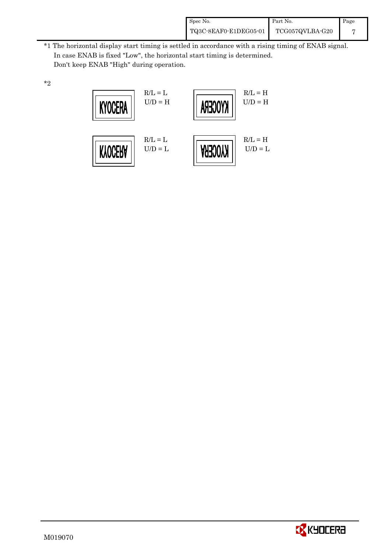| Spec No.              | Part No.        | Page |
|-----------------------|-----------------|------|
| TQ3C-8EAF0-E1DEG05-01 | TCG057QVLBA-G20 |      |

\*1 The horizontal display start timing is settled in accordance with a rising timing of ENAB signal. In case ENAB is fixed "Low", the horizontal start timing is determined. Don't keep ENAB "High" during operation.





\*2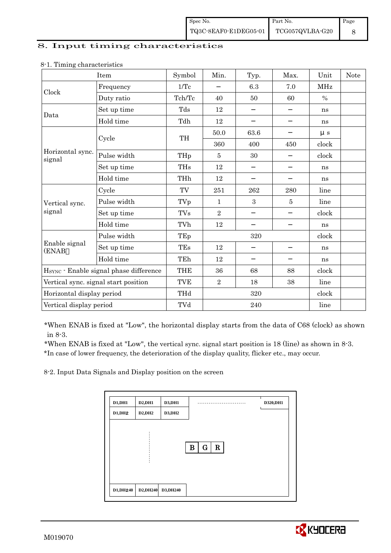### 8. Input timing characteristics

|                                        | Item                                 | Symbol     | Min.       | Typ. | Max. | Unit       | <b>Note</b> |
|----------------------------------------|--------------------------------------|------------|------------|------|------|------------|-------------|
| Clock                                  | Frequency                            | 1/Tc       |            | 6.3  | 7.0  | <b>MHz</b> |             |
|                                        | Duty ratio                           | Tch/Tc     | 40         | 50   | 60   | $\%$       |             |
| Data                                   | Set up time                          | Tds        | 12         |      |      | ns         |             |
|                                        | Hold time                            | Tdh        | 12         |      |      | ns         |             |
|                                        | Cycle                                | TH         | 50.0       | 63.6 |      | $\mu s$    |             |
|                                        |                                      |            | 360        | 400  | 450  | clock      |             |
| Horizontal sync.<br>signal             | Pulse width                          | THp        | 5          | 30   |      | clock      |             |
|                                        | Set up time                          | <b>THs</b> | 12         |      |      | ns         |             |
|                                        | Hold time                            | THh        | 12         |      |      | ns         |             |
|                                        | Cycle                                | TV         | 251        | 262  | 280  | line       |             |
| Vertical sync.                         | Pulse width                          | TVp        | 1          | 3    | 5    | line       |             |
| signal                                 | Set up time                          | <b>TVs</b> | $\sqrt{2}$ |      |      | clock      |             |
|                                        | Hold time                            | TVh        | 12         |      |      | ns         |             |
|                                        | Pulse width                          | TEp        |            | 320  |      | clock      |             |
| Enable signal<br>(ENAB                 | Set up time                          | TEs        | 12         |      |      | ns         |             |
|                                        | Hold time                            | TEh        | 12         |      |      | ns         |             |
| HSYNC · Enable signal phase difference |                                      | <b>THE</b> | 36         | 68   | 88   | clock      |             |
|                                        | Vertical sync. signal start position | <b>TVE</b> | $\sqrt{2}$ | 18   | 38   | line       |             |
| Horizontal display period              |                                      | THd        | 320        |      |      | clock      |             |
| Vertical display period                |                                      | TVd        |            | 240  |      | line       |             |

#### 8-1. Timing characteristics

\*When ENAB is fixed at "Low", the horizontal display starts from the data of C68 (clock) as shown in 8-3.

 \*When ENAB is fixed at "Low", the vertical sync. signal start position is 18 (line) as shown in 8-3. \*In case of lower frequency, the deterioration of the display quality, flicker etc., may occur.

8-2. Input Data Signals and Display position on the screen

| D1,DH1  | D2,DH1  | D3,DH1        | .                               | D320, DH1 |
|---------|---------|---------------|---------------------------------|-----------|
| D1, DH2 | D2, DH2 | <b>D3,DH2</b> |                                 |           |
|         |         |               |                                 |           |
|         |         |               |                                 |           |
|         |         |               | $\mathbf R$<br>$\mathbf G$<br>в |           |
|         |         |               |                                 |           |
|         |         |               |                                 |           |
|         |         |               |                                 |           |
|         |         |               |                                 |           |

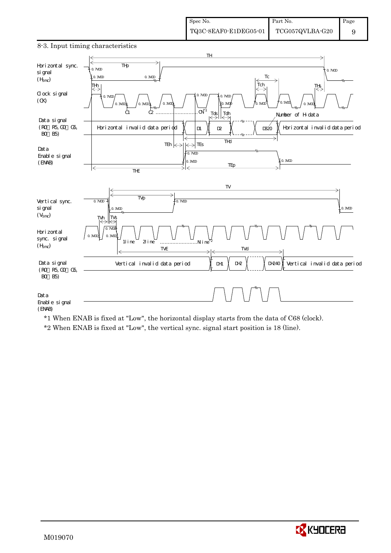

#### \*1 When ENAB is fixed at "Low", the horizontal display starts from the data of C68 (clock).

\*2 When ENAB is fixed at "Low", the vertical sync. signal start position is 18 (line).

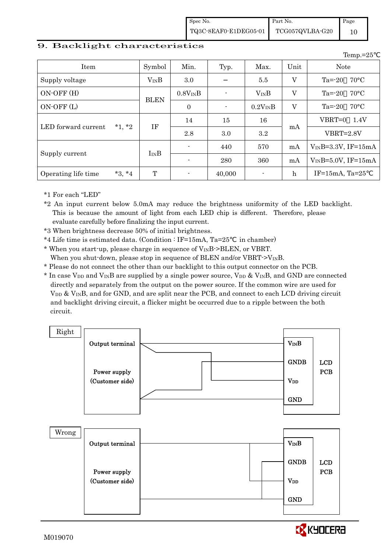Spec No. TQ3C-8EAF0-E1DEG05-01 Part No. TCG057QVLBA-G20 Page 10

Temp.=25

#### 9. Backlight characteristics

| Item                            | Symbol      | Min.                     | Typ.   | Max.           | Unit        | <b>Note</b>                 |
|---------------------------------|-------------|--------------------------|--------|----------------|-------------|-----------------------------|
| Supply voltage                  | $V_{IN}B$   | 3.0                      |        | 5.5            | V           | $70^{\circ}$ C<br>$Ta = 20$ |
| $ON-OFF(H)$                     | <b>BLEN</b> | $0.8V_{IN}B$             |        | $V_{IN}B$      | V           | $70^{\circ}$ C<br>$Ta = 20$ |
| ON-OFF (L)                      |             | $\overline{0}$           |        | $0.2V_{IN}B$   | V           | $Ta = -20$ 70 °C            |
| $*1, *2$                        |             | 14                       | 15     | 16             |             | $VBRT=0$<br>1.4V            |
| LED forward current             | ΙF          | 2.8                      | 3.0    | 3.2            | mA          | $VBRT = 2.8V$               |
|                                 |             | $\overline{\phantom{a}}$ | 440    | 570            | mA          | $V_{IN}B=3.3V$ , IF=15mA    |
| Supply current                  | $I_{IN}B$   |                          | 280    | 360            | mA          | $V_{IN}B=5.0V$ , IF=15mA    |
| $*3, *4$<br>Operating life time | T           |                          | 40,000 | $\blacksquare$ | $\mathbf h$ | IF= $15mA$ , Ta= $25$       |

\*1 For each "LED"

\*2 An input current below 5.0mA may reduce the brightness uniformity of the LED backlight. This is because the amount of light from each LED chip is different. Therefore, please evaluate carefully before finalizing the input current.

\*3 When brightness decrease 50% of initial brightness.

- \*4 Life time is estimated data. (Condition : IF=15mA, Ta=25 in chamber)
- \* When you start-up, please charge in sequence of  $V_{IN}B\rightarrow BLEN$ , or VBRT.
- When you shut-down, please stop in sequence of BLEN and/or VBRT- $>V_{\text{IN}}B$ .
- \* Please do not connect the other than our backlight to this output connector on the PCB.
- $*$  In case V<sub>DD</sub> and V<sub>IN</sub>B are supplied by a single power source, V<sub>DD</sub> & V<sub>IN</sub>B, and GND are connected directly and separately from the output on the power source. If the common wire are used for  $V_{DD}$  &  $V_{IN}B$ , and for GND, and are split near the PCB, and connect to each LCD driving circuit and backlight driving circuit, a flicker might be occurred due to a ripple between the both circuit.



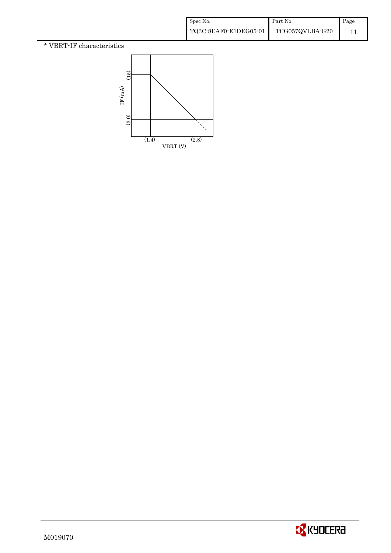# \* VBRT-IF characteristics



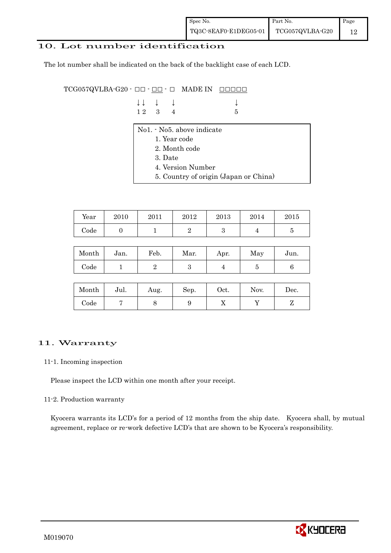## 10. Lot number identification

The lot number shall be indicated on the back of the backlight case of each LCD.

 $TCG057QVLBA-G20 - \Box\Box - \Box\Box$  MADE IN  $\Box\Box\Box\Box$ 

| $\downarrow \downarrow$ $\downarrow$ $\downarrow$ |  | $\downarrow$    |
|---------------------------------------------------|--|-----------------|
| $12 \quad 3 \quad 4$                              |  | $5\overline{5}$ |

- No1. No5. above indicate
	- 1. Year code
	- 2. Month code
	- 3. Date
	- 4. Version Number
	- 5. Country of origin (Japan or China)

| Year | 2010 | 2011 | 2012 | 2013 | 2014 | 2015 |
|------|------|------|------|------|------|------|
| Code |      |      | -    |      |      |      |

| Month | Jan. | Feb. | Mar. | Apr. | May | Jun. |
|-------|------|------|------|------|-----|------|
| Code  |      |      | ౿    |      |     |      |

| Month      | Jul. | Aug. | Sep. | $_{\rm Oct.}$ | Nov. | Dec. |
|------------|------|------|------|---------------|------|------|
| $\rm Code$ |      |      |      | ∡⊾            |      |      |

# 11. Warranty

#### 11-1. Incoming inspection

Please inspect the LCD within one month after your receipt.

#### 11-2. Production warranty

 Kyocera warrants its LCD's for a period of 12 months from the ship date. Kyocera shall, by mutual agreement, replace or re-work defective LCD's that are shown to be Kyocera's responsibility.

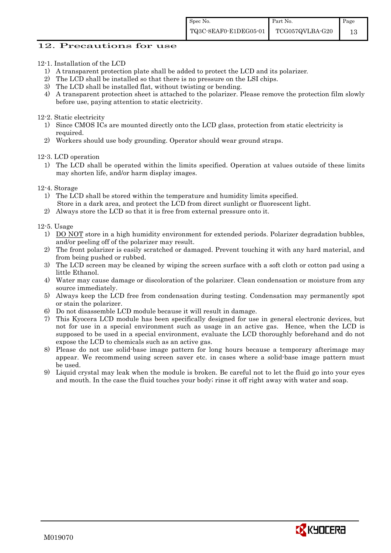### 12. Precautions for use

- 12-1. Installation of the LCD
	- 1) A transparent protection plate shall be added to protect the LCD and its polarizer.
	- 2) The LCD shall be installed so that there is no pressure on the LSI chips.
	- 3) The LCD shall be installed flat, without twisting or bending.
	- 4) A transparent protection sheet is attached to the polarizer. Please remove the protection film slowly before use, paying attention to static electricity.

#### 12-2. Static electricity

- 1) Since CMOS ICs are mounted directly onto the LCD glass, protection from static electricity is required.
- 2) Workers should use body grounding. Operator should wear ground straps.

12-3. LCD operation

- 1) The LCD shall be operated within the limits specified. Operation at values outside of these limits may shorten life, and/or harm display images.
- 12-4. Storage
	- 1) The LCD shall be stored within the temperature and humidity limits specified. Store in a dark area, and protect the LCD from direct sunlight or fluorescent light.
	- 2) Always store the LCD so that it is free from external pressure onto it.

12-5. Usage

- 1) DO NOT store in a high humidity environment for extended periods. Polarizer degradation bubbles, and/or peeling off of the polarizer may result.
- 2) The front polarizer is easily scratched or damaged. Prevent touching it with any hard material, and from being pushed or rubbed.
- 3) The LCD screen may be cleaned by wiping the screen surface with a soft cloth or cotton pad using a little Ethanol.
- 4) Water may cause damage or discoloration of the polarizer. Clean condensation or moisture from any source immediately.
- 5) Always keep the LCD free from condensation during testing. Condensation may permanently spot or stain the polarizer.
- 6) Do not disassemble LCD module because it will result in damage.
- 7) This Kyocera LCD module has been specifically designed for use in general electronic devices, but not for use in a special environment such as usage in an active gas. Hence, when the LCD is supposed to be used in a special environment, evaluate the LCD thoroughly beforehand and do not expose the LCD to chemicals such as an active gas.
- 8) Please do not use solid-base image pattern for long hours because a temporary afterimage may appear. We recommend using screen saver etc. in cases where a solid-base image pattern must be used.
- 9) Liquid crystal may leak when the module is broken. Be careful not to let the fluid go into your eyes and mouth. In the case the fluid touches your body; rinse it off right away with water and soap.

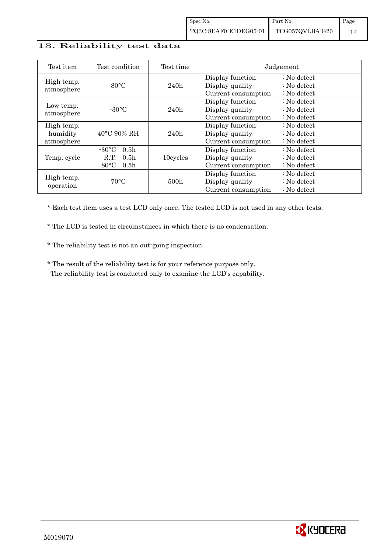## 13. Reliability test data

| Test item                            | Test condition                                                                                       | Test time        |                                                            | Judgement                                                                  |
|--------------------------------------|------------------------------------------------------------------------------------------------------|------------------|------------------------------------------------------------|----------------------------------------------------------------------------|
| High temp.<br>atmosphere             | $80^{\circ}$ C                                                                                       | 240h             | Display function<br>Display quality<br>Current consumption | $\therefore$ No defect<br>$\therefore$ No defect<br>: No defect            |
| Low temp.<br>atmosphere              | $-30^{\circ}$ C                                                                                      | 240h             | Display function<br>Display quality<br>Current consumption | : No defect<br>$\therefore$ No defect<br>$\therefore$ No defect            |
| High temp.<br>humidity<br>atmosphere | $40^{\circ}$ C 90% RH                                                                                | 240h             | Display function<br>Display quality<br>Current consumption | $\therefore$ No defect<br>$\therefore$ No defect<br>$\therefore$ No defect |
| Temp. cycle                          | 0.5 <sub>h</sub><br>$-30\degree C$<br>R.T.<br>0.5 <sub>h</sub><br>$80^{\circ}$ C<br>0.5 <sub>h</sub> | 10cycles         | Display function<br>Display quality<br>Current consumption | $\therefore$ No defect<br>$\therefore$ No defect<br>$\therefore$ No defect |
| High temp.<br>operation              | $70^{\circ}$ C                                                                                       | 500 <sub>h</sub> | Display function<br>Display quality<br>Current consumption | $\therefore$ No defect<br>: No defect<br>$\therefore$ No defect            |

\* Each test item uses a test LCD only once. The tested LCD is not used in any other tests.

\* The LCD is tested in circumstances in which there is no condensation.

\* The reliability test is not an out-going inspection.

 \* The result of the reliability test is for your reference purpose only. The reliability test is conducted only to examine the LCD's capability.

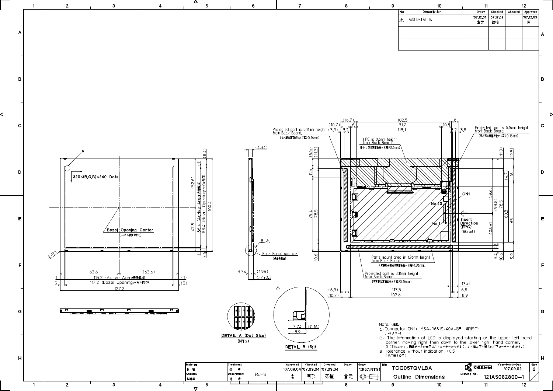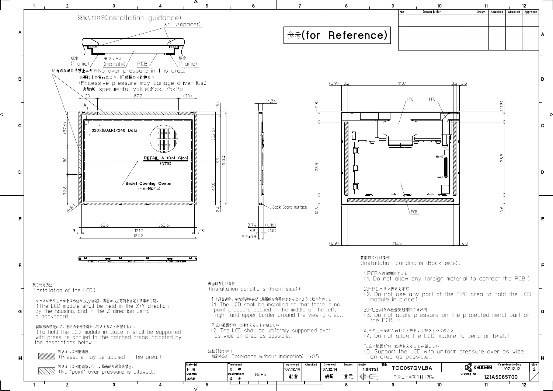

Þ

Δ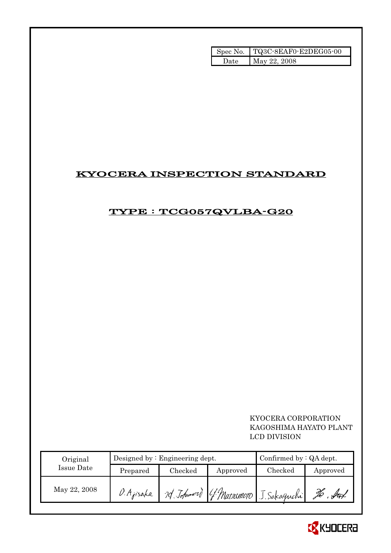| Spec No. | TQ3C-8EAF0-E2DEG05-00 |
|----------|-----------------------|
| Date.    | May 22, 2008          |

# KYOCERA INSPECTION STANDARD

# TYPE : TCG057QVLBA-G20

# KYOCERA CORPORATION KAGOSHIMA HAYATO PLANT LCD DIVISION

| Original     |                                 | Designed by $:$ Engineering dept. | Confirmed by : QA dept. |                                         |     |
|--------------|---------------------------------|-----------------------------------|-------------------------|-----------------------------------------|-----|
| Issue Date   | Checked<br>Prepared<br>Approved |                                   | $\rm Checked$           | Approved                                |     |
| May 22, 2008 | D.Ajisaka                       |                                   |                         | 20 Johnword (f. Matsumoro J. Sakaguchi) | ful |

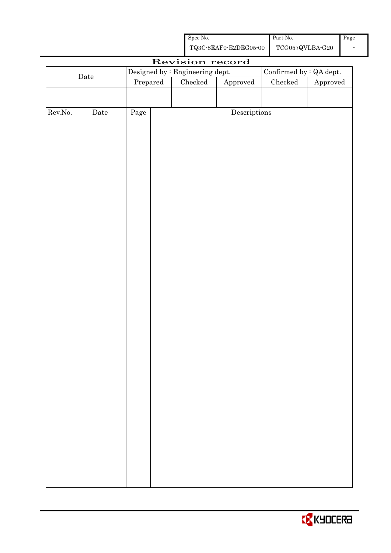| Spec No.              | <b>Part No.</b> | Page |
|-----------------------|-----------------|------|
| TQ3C-8EAF0-E2DEG05-00 | TCG057QVLBA-G20 |      |

|             |             |          |  | Revision record                 |                         |               |          |
|-------------|-------------|----------|--|---------------------------------|-------------------------|---------------|----------|
|             |             |          |  | Designed by : Engineering dept. | Confirmed by : QA dept. |               |          |
| $\rm{Date}$ |             | Prepared |  | Checked                         | ${\Large\bf Approved}$  | $\rm Checked$ | Approved |
|             |             |          |  |                                 |                         |               |          |
|             |             |          |  |                                 |                         |               |          |
| Rev.No.     | $\rm{Date}$ | Page     |  |                                 | Descriptions            |               |          |
|             |             |          |  |                                 |                         |               |          |
|             |             |          |  |                                 |                         |               |          |
|             |             |          |  |                                 |                         |               |          |
|             |             |          |  |                                 |                         |               |          |
|             |             |          |  |                                 |                         |               |          |
|             |             |          |  |                                 |                         |               |          |
|             |             |          |  |                                 |                         |               |          |
|             |             |          |  |                                 |                         |               |          |
|             |             |          |  |                                 |                         |               |          |
|             |             |          |  |                                 |                         |               |          |
|             |             |          |  |                                 |                         |               |          |
|             |             |          |  |                                 |                         |               |          |
|             |             |          |  |                                 |                         |               |          |
|             |             |          |  |                                 |                         |               |          |
|             |             |          |  |                                 |                         |               |          |
|             |             |          |  |                                 |                         |               |          |
|             |             |          |  |                                 |                         |               |          |
|             |             |          |  |                                 |                         |               |          |
|             |             |          |  |                                 |                         |               |          |
|             |             |          |  |                                 |                         |               |          |
|             |             |          |  |                                 |                         |               |          |
|             |             |          |  |                                 |                         |               |          |
|             |             |          |  |                                 |                         |               |          |
|             |             |          |  |                                 |                         |               |          |
|             |             |          |  |                                 |                         |               |          |
|             |             |          |  |                                 |                         |               |          |
|             |             |          |  |                                 |                         |               |          |
|             |             |          |  |                                 |                         |               |          |
|             |             |          |  |                                 |                         |               |          |
|             |             |          |  |                                 |                         |               |          |
|             |             |          |  |                                 |                         |               |          |
|             |             |          |  |                                 |                         |               |          |
|             |             |          |  |                                 |                         |               |          |
|             |             |          |  |                                 |                         |               |          |
|             |             |          |  |                                 |                         |               |          |
|             |             |          |  |                                 |                         |               |          |

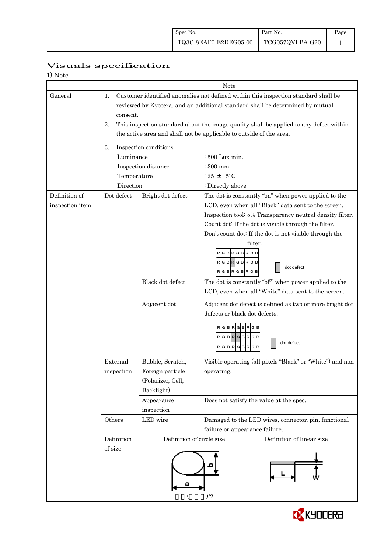|                          | Visuals specification |
|--------------------------|-----------------------|
|                          |                       |
| $1)$ $N_{\alpha+\alpha}$ |                       |

| 1) Note         |                                                                               |                                                                                        |                                                           |  |  |  |  |
|-----------------|-------------------------------------------------------------------------------|----------------------------------------------------------------------------------------|-----------------------------------------------------------|--|--|--|--|
|                 | Note                                                                          |                                                                                        |                                                           |  |  |  |  |
| General         | 1.                                                                            | Customer identified anomalies not defined within this inspection standard shall be     |                                                           |  |  |  |  |
|                 | reviewed by Kyocera, and an additional standard shall be determined by mutual |                                                                                        |                                                           |  |  |  |  |
|                 |                                                                               | consent.                                                                               |                                                           |  |  |  |  |
|                 | 2.                                                                            | This inspection standard about the image quality shall be applied to any defect within |                                                           |  |  |  |  |
|                 |                                                                               | the active area and shall not be applicable to outside of the area.                    |                                                           |  |  |  |  |
|                 |                                                                               |                                                                                        |                                                           |  |  |  |  |
|                 | 3.                                                                            | Inspection conditions                                                                  |                                                           |  |  |  |  |
|                 | Luminance                                                                     |                                                                                        | $\div 500$ Lux min.                                       |  |  |  |  |
|                 |                                                                               | Inspection distance                                                                    | : 300 mm.                                                 |  |  |  |  |
|                 | Temperature                                                                   |                                                                                        | $: 25 + 5$                                                |  |  |  |  |
|                 | Direction                                                                     |                                                                                        | : Directly above                                          |  |  |  |  |
| Definition of   | Dot defect                                                                    | Bright dot defect                                                                      | The dot is constantly "on" when power applied to the      |  |  |  |  |
| inspection item |                                                                               |                                                                                        | LCD, even when all "Black" data sent to the screen.       |  |  |  |  |
|                 |                                                                               |                                                                                        | Inspection tool: 5% Transparency neutral density filter.  |  |  |  |  |
|                 |                                                                               |                                                                                        | Count dot: If the dot is visible through the filter.      |  |  |  |  |
|                 |                                                                               |                                                                                        | Don't count dot: If the dot is not visible through the    |  |  |  |  |
|                 |                                                                               |                                                                                        | filter.                                                   |  |  |  |  |
|                 |                                                                               |                                                                                        | <b>GBRGB</b><br><b>GBR</b>                                |  |  |  |  |
|                 |                                                                               |                                                                                        | $R$ $G$ $B$ $R$ $G$ $B$ $R$ $G$ $B$<br>dot defect         |  |  |  |  |
|                 |                                                                               |                                                                                        | $RG$ B $RG$ B $RG$ B                                      |  |  |  |  |
|                 |                                                                               | Black dot defect                                                                       | The dot is constantly "off" when power applied to the     |  |  |  |  |
|                 |                                                                               |                                                                                        | LCD, even when all "White" data sent to the screen.       |  |  |  |  |
|                 |                                                                               | Adjacent dot                                                                           | Adjacent dot defect is defined as two or more bright dot  |  |  |  |  |
|                 |                                                                               |                                                                                        | defects or black dot defects.                             |  |  |  |  |
|                 |                                                                               |                                                                                        |                                                           |  |  |  |  |
|                 |                                                                               |                                                                                        | RGBRGBRGB                                                 |  |  |  |  |
|                 |                                                                               |                                                                                        | RGBRGBRGB<br>dot defect                                   |  |  |  |  |
|                 |                                                                               |                                                                                        | RGBRGBRGB                                                 |  |  |  |  |
|                 | External                                                                      | Bubble, Scratch,                                                                       | Visible operating (all pixels "Black" or "White") and non |  |  |  |  |
|                 | inspection                                                                    | Foreign particle                                                                       | operating.                                                |  |  |  |  |
|                 |                                                                               | (Polarizer, Cell,                                                                      |                                                           |  |  |  |  |
|                 |                                                                               | Backlight)                                                                             |                                                           |  |  |  |  |
|                 |                                                                               | Appearance                                                                             | Does not satisfy the value at the spec.                   |  |  |  |  |
|                 |                                                                               | inspection                                                                             |                                                           |  |  |  |  |
|                 | Others                                                                        | LED wire                                                                               | Damaged to the LED wires, connector, pin, functional      |  |  |  |  |
|                 |                                                                               |                                                                                        | failure or appearance failure.                            |  |  |  |  |
|                 | Definition                                                                    | Definition of circle size                                                              | Definition of linear size                                 |  |  |  |  |
|                 | of size                                                                       |                                                                                        |                                                           |  |  |  |  |
|                 |                                                                               |                                                                                        |                                                           |  |  |  |  |
|                 |                                                                               |                                                                                        |                                                           |  |  |  |  |
|                 |                                                                               |                                                                                        |                                                           |  |  |  |  |
|                 |                                                                               | а                                                                                      |                                                           |  |  |  |  |
|                 |                                                                               |                                                                                        | )/2                                                       |  |  |  |  |
|                 |                                                                               |                                                                                        |                                                           |  |  |  |  |